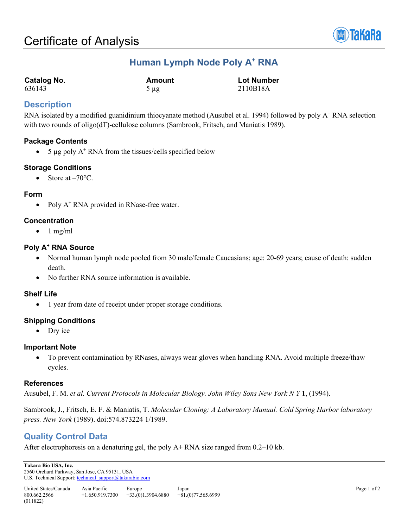

# **Human Lymph Node Poly A+ RNA**

| <b>Catalog No.</b> | Amount    | <b>Lot Number</b> |
|--------------------|-----------|-------------------|
| 636143             | $5 \mu$ g | 2110B18A          |

## **Description**

RNA isolated by a modified guanidinium thiocyanate method (Ausubel et al. 1994) followed by poly  $A^+$  RNA selection with two rounds of oligo(dT)-cellulose columns (Sambrook, Fritsch, and Maniatis 1989).

## **Package Contents**

• 5  $\mu$ g poly A<sup>+</sup> RNA from the tissues/cells specified below

## **Storage Conditions**

• Store at  $-70^{\circ}$ C.

## **Form**

• Poly A<sup>+</sup> RNA provided in RNase-free water.

## **Concentration**

 $\bullet$  1 mg/ml

## **Poly A+ RNA Source**

- Normal human lymph node pooled from 30 male/female Caucasians; age: 20-69 years; cause of death: sudden death.
- No further RNA source information is available.

## **Shelf Life**

• 1 year from date of receipt under proper storage conditions.

## **Shipping Conditions**

• Dry ice

## **Important Note**

• To prevent contamination by RNases, always wear gloves when handling RNA. Avoid multiple freeze/thaw cycles.

#### **References**

Ausubel, F. M. *et al. Current Protocols in Molecular Biology. John Wiley Sons New York N Y* **1**, (1994).

Sambrook, J., Fritsch, E. F. & Maniatis, T. *Molecular Cloning: A Laboratory Manual. Cold Spring Harbor laboratory press. New York* (1989). doi:574.873224 1/1989.

# **Quality Control Data**

After electrophoresis on a denaturing gel, the poly A+ RNA size ranged from 0.2–10 kb.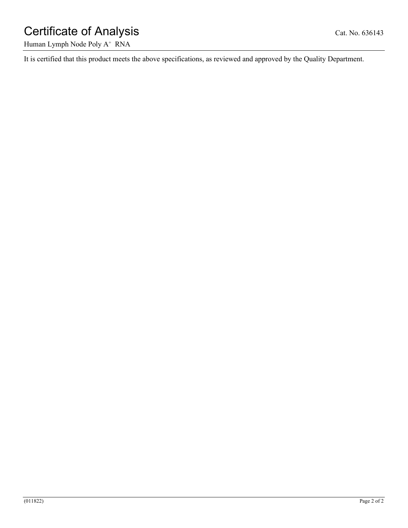# Certificate of Analysis Cat. No. 636143

Human Lymph Node Poly A<sup>+</sup> RNA

It is certified that this product meets the above specifications, as reviewed and approved by the Quality Department.